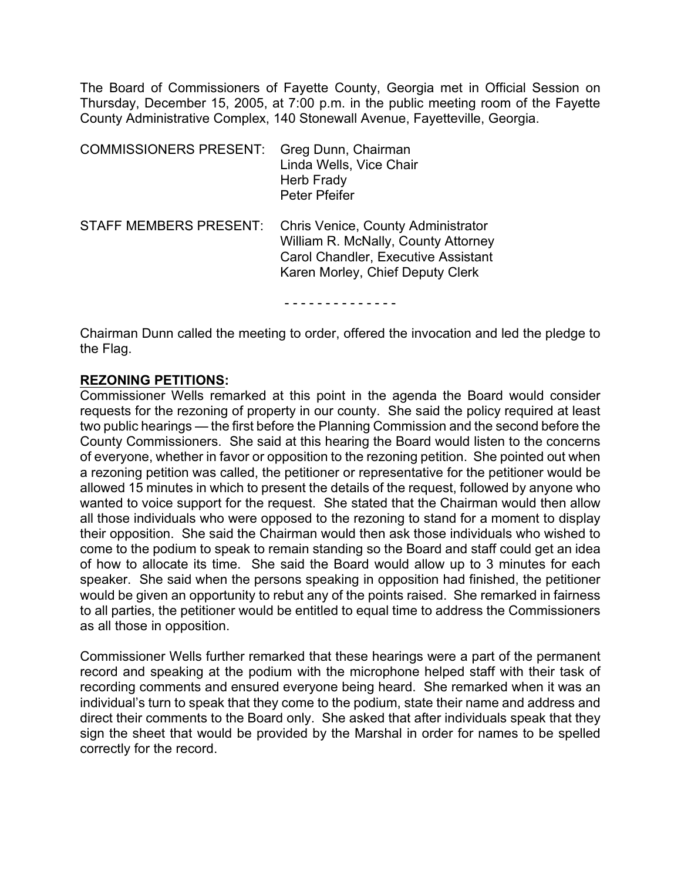The Board of Commissioners of Fayette County, Georgia met in Official Session on Thursday, December 15, 2005, at 7:00 p.m. in the public meeting room of the Fayette County Administrative Complex, 140 Stonewall Avenue, Fayetteville, Georgia.

| <b>COMMISSIONERS PRESENT:</b> | Greg Dunn, Chairman<br>Linda Wells, Vice Chair<br>Herb Frady<br><b>Peter Pfeifer</b>                                                                 |
|-------------------------------|------------------------------------------------------------------------------------------------------------------------------------------------------|
| <b>STAFF MEMBERS PRESENT:</b> | Chris Venice, County Administrator<br>William R. McNally, County Attorney<br>Carol Chandler, Executive Assistant<br>Karen Morley, Chief Deputy Clerk |

- - - - - - - - - - - - - -

Chairman Dunn called the meeting to order, offered the invocation and led the pledge to the Flag.

#### **REZONING PETITIONS:**

Commissioner Wells remarked at this point in the agenda the Board would consider requests for the rezoning of property in our county. She said the policy required at least two public hearings — the first before the Planning Commission and the second before the County Commissioners. She said at this hearing the Board would listen to the concerns of everyone, whether in favor or opposition to the rezoning petition. She pointed out when a rezoning petition was called, the petitioner or representative for the petitioner would be allowed 15 minutes in which to present the details of the request, followed by anyone who wanted to voice support for the request. She stated that the Chairman would then allow all those individuals who were opposed to the rezoning to stand for a moment to display their opposition. She said the Chairman would then ask those individuals who wished to come to the podium to speak to remain standing so the Board and staff could get an idea of how to allocate its time. She said the Board would allow up to 3 minutes for each speaker. She said when the persons speaking in opposition had finished, the petitioner would be given an opportunity to rebut any of the points raised. She remarked in fairness to all parties, the petitioner would be entitled to equal time to address the Commissioners as all those in opposition.

Commissioner Wells further remarked that these hearings were a part of the permanent record and speaking at the podium with the microphone helped staff with their task of recording comments and ensured everyone being heard. She remarked when it was an individual's turn to speak that they come to the podium, state their name and address and direct their comments to the Board only. She asked that after individuals speak that they sign the sheet that would be provided by the Marshal in order for names to be spelled correctly for the record.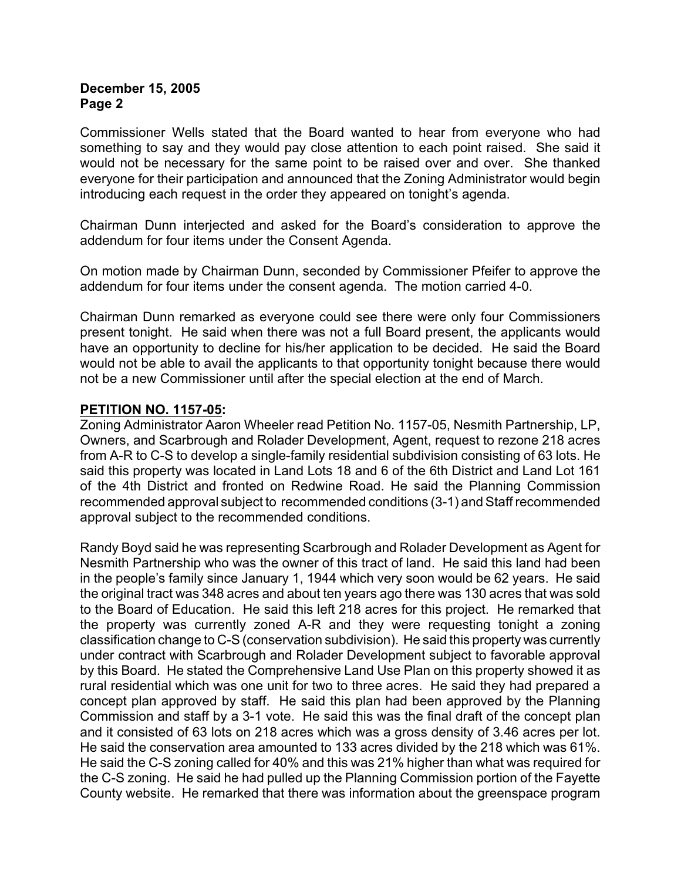Commissioner Wells stated that the Board wanted to hear from everyone who had something to say and they would pay close attention to each point raised. She said it would not be necessary for the same point to be raised over and over. She thanked everyone for their participation and announced that the Zoning Administrator would begin introducing each request in the order they appeared on tonight's agenda.

Chairman Dunn interjected and asked for the Board's consideration to approve the addendum for four items under the Consent Agenda.

On motion made by Chairman Dunn, seconded by Commissioner Pfeifer to approve the addendum for four items under the consent agenda. The motion carried 4-0.

Chairman Dunn remarked as everyone could see there were only four Commissioners present tonight. He said when there was not a full Board present, the applicants would have an opportunity to decline for his/her application to be decided. He said the Board would not be able to avail the applicants to that opportunity tonight because there would not be a new Commissioner until after the special election at the end of March.

## **PETITION NO. 1157-05:**

Zoning Administrator Aaron Wheeler read Petition No. 1157-05, Nesmith Partnership, LP, Owners, and Scarbrough and Rolader Development, Agent, request to rezone 218 acres from A-R to C-S to develop a single-family residential subdivision consisting of 63 lots. He said this property was located in Land Lots 18 and 6 of the 6th District and Land Lot 161 of the 4th District and fronted on Redwine Road. He said the Planning Commission recommended approval subject to recommended conditions (3-1) and Staff recommended approval subject to the recommended conditions.

Randy Boyd said he was representing Scarbrough and Rolader Development as Agent for Nesmith Partnership who was the owner of this tract of land. He said this land had been in the people's family since January 1, 1944 which very soon would be 62 years. He said the original tract was 348 acres and about ten years ago there was 130 acres that was sold to the Board of Education. He said this left 218 acres for this project. He remarked that the property was currently zoned A-R and they were requesting tonight a zoning classification change to C-S (conservation subdivision). He said this property was currently under contract with Scarbrough and Rolader Development subject to favorable approval by this Board. He stated the Comprehensive Land Use Plan on this property showed it as rural residential which was one unit for two to three acres. He said they had prepared a concept plan approved by staff. He said this plan had been approved by the Planning Commission and staff by a 3-1 vote. He said this was the final draft of the concept plan and it consisted of 63 lots on 218 acres which was a gross density of 3.46 acres per lot. He said the conservation area amounted to 133 acres divided by the 218 which was 61%. He said the C-S zoning called for 40% and this was 21% higher than what was required for the C-S zoning. He said he had pulled up the Planning Commission portion of the Fayette County website. He remarked that there was information about the greenspace program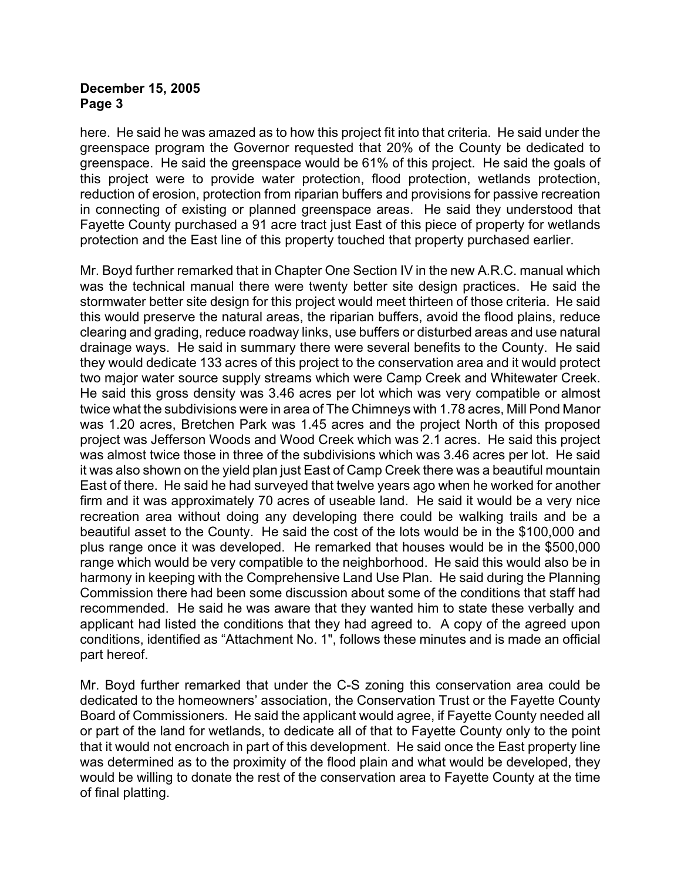here. He said he was amazed as to how this project fit into that criteria. He said under the greenspace program the Governor requested that 20% of the County be dedicated to greenspace. He said the greenspace would be 61% of this project. He said the goals of this project were to provide water protection, flood protection, wetlands protection, reduction of erosion, protection from riparian buffers and provisions for passive recreation in connecting of existing or planned greenspace areas. He said they understood that Fayette County purchased a 91 acre tract just East of this piece of property for wetlands protection and the East line of this property touched that property purchased earlier.

Mr. Boyd further remarked that in Chapter One Section IV in the new A.R.C. manual which was the technical manual there were twenty better site design practices. He said the stormwater better site design for this project would meet thirteen of those criteria. He said this would preserve the natural areas, the riparian buffers, avoid the flood plains, reduce clearing and grading, reduce roadway links, use buffers or disturbed areas and use natural drainage ways. He said in summary there were several benefits to the County. He said they would dedicate 133 acres of this project to the conservation area and it would protect two major water source supply streams which were Camp Creek and Whitewater Creek. He said this gross density was 3.46 acres per lot which was very compatible or almost twice what the subdivisions were in area of The Chimneys with 1.78 acres, Mill Pond Manor was 1.20 acres, Bretchen Park was 1.45 acres and the project North of this proposed project was Jefferson Woods and Wood Creek which was 2.1 acres. He said this project was almost twice those in three of the subdivisions which was 3.46 acres per lot. He said it was also shown on the yield plan just East of Camp Creek there was a beautiful mountain East of there. He said he had surveyed that twelve years ago when he worked for another firm and it was approximately 70 acres of useable land. He said it would be a very nice recreation area without doing any developing there could be walking trails and be a beautiful asset to the County. He said the cost of the lots would be in the \$100,000 and plus range once it was developed. He remarked that houses would be in the \$500,000 range which would be very compatible to the neighborhood. He said this would also be in harmony in keeping with the Comprehensive Land Use Plan. He said during the Planning Commission there had been some discussion about some of the conditions that staff had recommended. He said he was aware that they wanted him to state these verbally and applicant had listed the conditions that they had agreed to. A copy of the agreed upon conditions, identified as "Attachment No. 1", follows these minutes and is made an official part hereof.

Mr. Boyd further remarked that under the C-S zoning this conservation area could be dedicated to the homeowners' association, the Conservation Trust or the Fayette County Board of Commissioners. He said the applicant would agree, if Fayette County needed all or part of the land for wetlands, to dedicate all of that to Fayette County only to the point that it would not encroach in part of this development. He said once the East property line was determined as to the proximity of the flood plain and what would be developed, they would be willing to donate the rest of the conservation area to Fayette County at the time of final platting.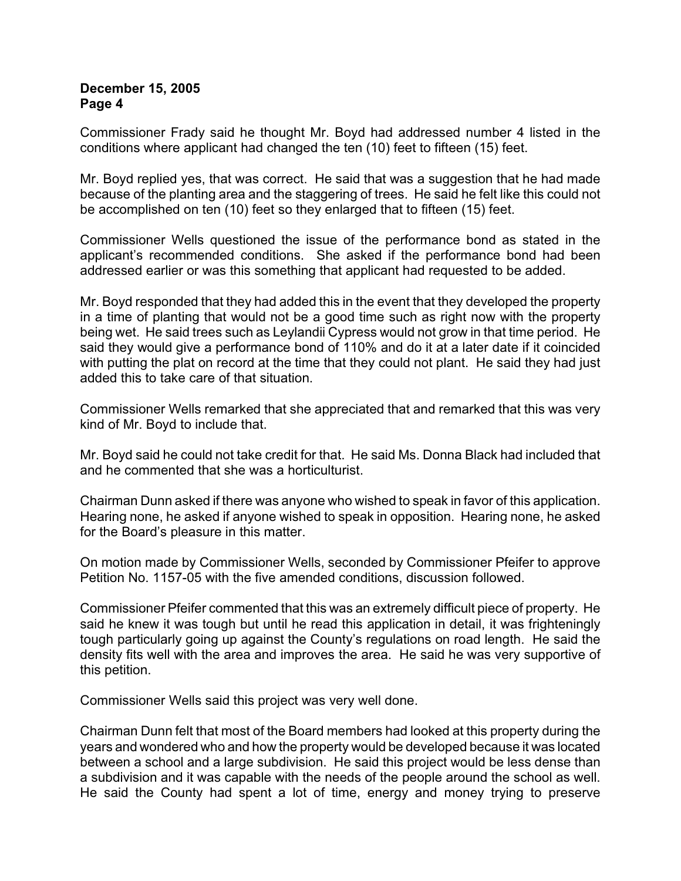Commissioner Frady said he thought Mr. Boyd had addressed number 4 listed in the conditions where applicant had changed the ten (10) feet to fifteen (15) feet.

Mr. Boyd replied yes, that was correct. He said that was a suggestion that he had made because of the planting area and the staggering of trees. He said he felt like this could not be accomplished on ten (10) feet so they enlarged that to fifteen (15) feet.

Commissioner Wells questioned the issue of the performance bond as stated in the applicant's recommended conditions. She asked if the performance bond had been addressed earlier or was this something that applicant had requested to be added.

Mr. Boyd responded that they had added this in the event that they developed the property in a time of planting that would not be a good time such as right now with the property being wet. He said trees such as Leylandii Cypress would not grow in that time period. He said they would give a performance bond of 110% and do it at a later date if it coincided with putting the plat on record at the time that they could not plant. He said they had just added this to take care of that situation.

Commissioner Wells remarked that she appreciated that and remarked that this was very kind of Mr. Boyd to include that.

Mr. Boyd said he could not take credit for that. He said Ms. Donna Black had included that and he commented that she was a horticulturist.

Chairman Dunn asked if there was anyone who wished to speak in favor of this application. Hearing none, he asked if anyone wished to speak in opposition. Hearing none, he asked for the Board's pleasure in this matter.

On motion made by Commissioner Wells, seconded by Commissioner Pfeifer to approve Petition No. 1157-05 with the five amended conditions, discussion followed.

Commissioner Pfeifer commented that this was an extremely difficult piece of property. He said he knew it was tough but until he read this application in detail, it was frighteningly tough particularly going up against the County's regulations on road length. He said the density fits well with the area and improves the area. He said he was very supportive of this petition.

Commissioner Wells said this project was very well done.

Chairman Dunn felt that most of the Board members had looked at this property during the years and wondered who and how the property would be developed because it was located between a school and a large subdivision. He said this project would be less dense than a subdivision and it was capable with the needs of the people around the school as well. He said the County had spent a lot of time, energy and money trying to preserve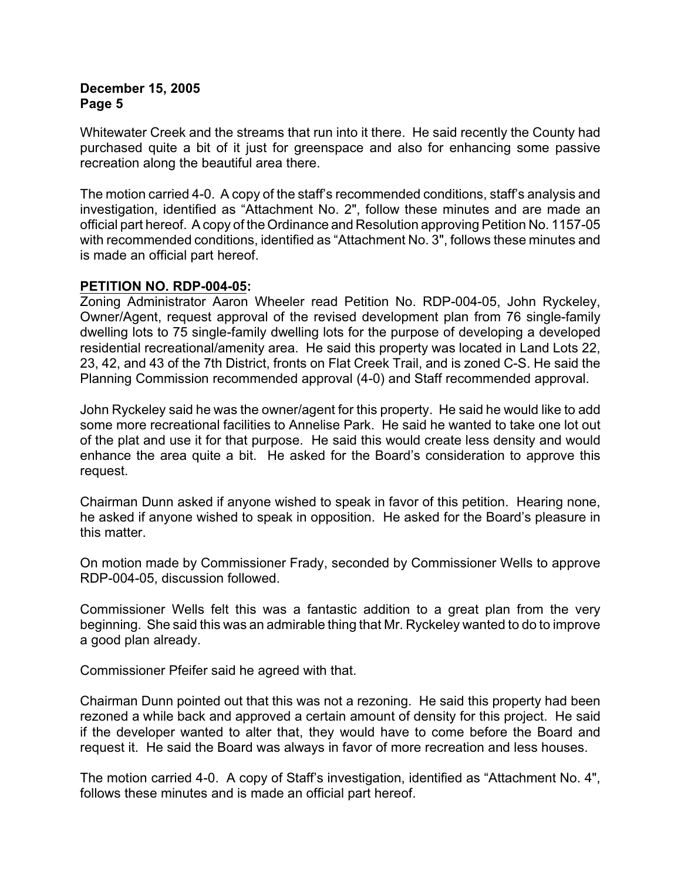Whitewater Creek and the streams that run into it there. He said recently the County had purchased quite a bit of it just for greenspace and also for enhancing some passive recreation along the beautiful area there.

The motion carried 4-0. A copy of the staff's recommended conditions, staff's analysis and investigation, identified as "Attachment No. 2", follow these minutes and are made an official part hereof. A copy of the Ordinance and Resolution approving Petition No. 1157-05 with recommended conditions, identified as "Attachment No. 3", follows these minutes and is made an official part hereof.

## **PETITION NO. RDP-004-05:**

Zoning Administrator Aaron Wheeler read Petition No. RDP-004-05, John Ryckeley, Owner/Agent, request approval of the revised development plan from 76 single-family dwelling lots to 75 single-family dwelling lots for the purpose of developing a developed residential recreational/amenity area. He said this property was located in Land Lots 22, 23, 42, and 43 of the 7th District, fronts on Flat Creek Trail, and is zoned C-S. He said the Planning Commission recommended approval (4-0) and Staff recommended approval.

John Ryckeley said he was the owner/agent for this property. He said he would like to add some more recreational facilities to Annelise Park. He said he wanted to take one lot out of the plat and use it for that purpose. He said this would create less density and would enhance the area quite a bit. He asked for the Board's consideration to approve this request.

Chairman Dunn asked if anyone wished to speak in favor of this petition. Hearing none, he asked if anyone wished to speak in opposition. He asked for the Board's pleasure in this matter.

On motion made by Commissioner Frady, seconded by Commissioner Wells to approve RDP-004-05, discussion followed.

Commissioner Wells felt this was a fantastic addition to a great plan from the very beginning. She said this was an admirable thing that Mr. Ryckeley wanted to do to improve a good plan already.

Commissioner Pfeifer said he agreed with that.

Chairman Dunn pointed out that this was not a rezoning. He said this property had been rezoned a while back and approved a certain amount of density for this project. He said if the developer wanted to alter that, they would have to come before the Board and request it. He said the Board was always in favor of more recreation and less houses.

The motion carried 4-0. A copy of Staff's investigation, identified as "Attachment No. 4", follows these minutes and is made an official part hereof.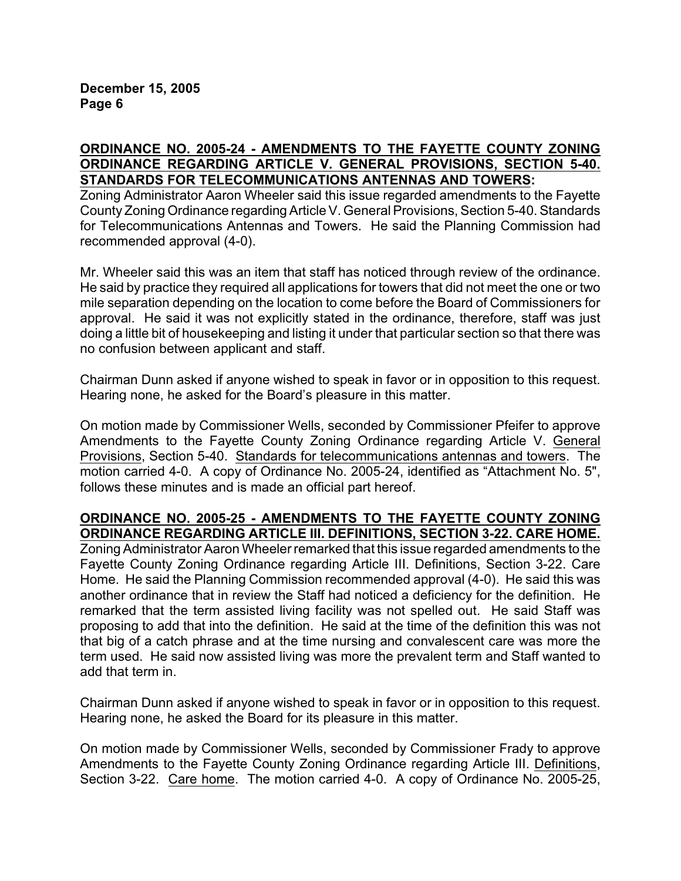## **ORDINANCE NO. 2005-24 - AMENDMENTS TO THE FAYETTE COUNTY ZONING ORDINANCE REGARDING ARTICLE V. GENERAL PROVISIONS, SECTION 5-40. STANDARDS FOR TELECOMMUNICATIONS ANTENNAS AND TOWERS:**

Zoning Administrator Aaron Wheeler said this issue regarded amendments to the Fayette County Zoning Ordinance regarding Article V. General Provisions, Section 5-40. Standards for Telecommunications Antennas and Towers. He said the Planning Commission had recommended approval (4-0).

Mr. Wheeler said this was an item that staff has noticed through review of the ordinance. He said by practice they required all applications for towers that did not meet the one or two mile separation depending on the location to come before the Board of Commissioners for approval. He said it was not explicitly stated in the ordinance, therefore, staff was just doing a little bit of housekeeping and listing it under that particular section so that there was no confusion between applicant and staff.

Chairman Dunn asked if anyone wished to speak in favor or in opposition to this request. Hearing none, he asked for the Board's pleasure in this matter.

On motion made by Commissioner Wells, seconded by Commissioner Pfeifer to approve Amendments to the Fayette County Zoning Ordinance regarding Article V. General Provisions, Section 5-40. Standards for telecommunications antennas and towers. The motion carried 4-0. A copy of Ordinance No. 2005-24, identified as "Attachment No. 5", follows these minutes and is made an official part hereof.

# **ORDINANCE NO. 2005-25 - AMENDMENTS TO THE FAYETTE COUNTY ZONING ORDINANCE REGARDING ARTICLE III. DEFINITIONS, SECTION 3-22. CARE HOME.**

Zoning Administrator Aaron Wheeler remarked that this issue regarded amendments to the Fayette County Zoning Ordinance regarding Article III. Definitions, Section 3-22. Care Home. He said the Planning Commission recommended approval (4-0). He said this was another ordinance that in review the Staff had noticed a deficiency for the definition. He remarked that the term assisted living facility was not spelled out. He said Staff was proposing to add that into the definition. He said at the time of the definition this was not that big of a catch phrase and at the time nursing and convalescent care was more the term used. He said now assisted living was more the prevalent term and Staff wanted to add that term in.

Chairman Dunn asked if anyone wished to speak in favor or in opposition to this request. Hearing none, he asked the Board for its pleasure in this matter.

On motion made by Commissioner Wells, seconded by Commissioner Frady to approve Amendments to the Fayette County Zoning Ordinance regarding Article III. Definitions, Section 3-22. Care home. The motion carried 4-0. A copy of Ordinance No. 2005-25,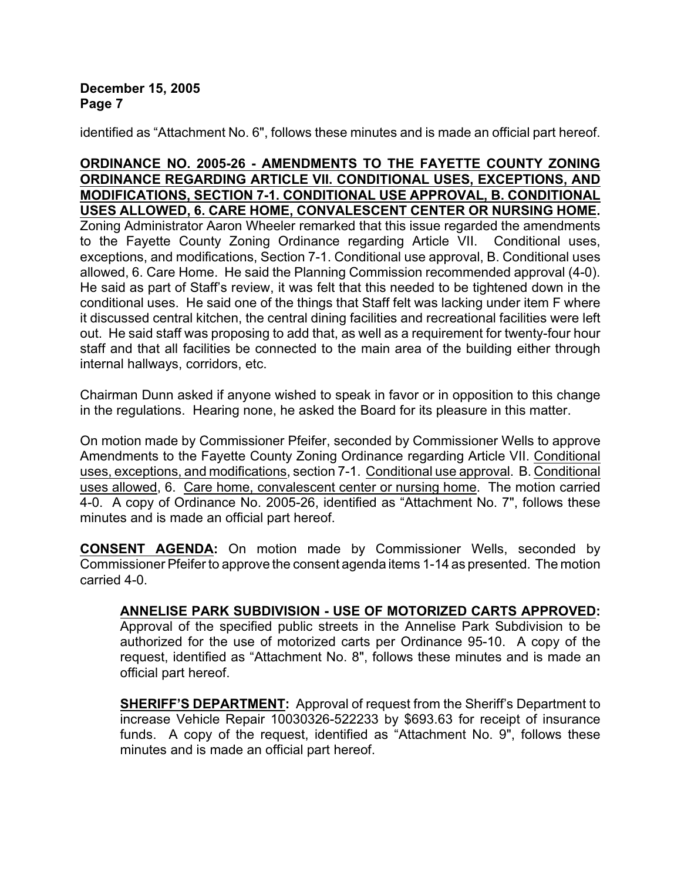identified as "Attachment No. 6", follows these minutes and is made an official part hereof.

## **ORDINANCE NO. 2005-26 - AMENDMENTS TO THE FAYETTE COUNTY ZONING ORDINANCE REGARDING ARTICLE VII. CONDITIONAL USES, EXCEPTIONS, AND MODIFICATIONS, SECTION 7-1. CONDITIONAL USE APPROVAL, B. CONDITIONAL USES ALLOWED, 6. CARE HOME, CONVALESCENT CENTER OR NURSING HOME.** Zoning Administrator Aaron Wheeler remarked that this issue regarded the amendments to the Fayette County Zoning Ordinance regarding Article VII. Conditional uses, exceptions, and modifications, Section 7-1. Conditional use approval, B. Conditional uses allowed, 6. Care Home. He said the Planning Commission recommended approval (4-0). He said as part of Staff's review, it was felt that this needed to be tightened down in the conditional uses. He said one of the things that Staff felt was lacking under item F where it discussed central kitchen, the central dining facilities and recreational facilities were left out. He said staff was proposing to add that, as well as a requirement for twenty-four hour staff and that all facilities be connected to the main area of the building either through internal hallways, corridors, etc.

Chairman Dunn asked if anyone wished to speak in favor or in opposition to this change in the regulations. Hearing none, he asked the Board for its pleasure in this matter.

On motion made by Commissioner Pfeifer, seconded by Commissioner Wells to approve Amendments to the Fayette County Zoning Ordinance regarding Article VII. Conditional uses, exceptions, and modifications, section 7-1. Conditional use approval. B. Conditional uses allowed, 6. Care home, convalescent center or nursing home. The motion carried 4-0. A copy of Ordinance No. 2005-26, identified as "Attachment No. 7", follows these minutes and is made an official part hereof.

**CONSENT AGENDA:** On motion made by Commissioner Wells, seconded by Commissioner Pfeifer to approve the consent agenda items 1-14 as presented. The motion carried 4-0.

# **ANNELISE PARK SUBDIVISION - USE OF MOTORIZED CARTS APPROVED:**

Approval of the specified public streets in the Annelise Park Subdivision to be authorized for the use of motorized carts per Ordinance 95-10. A copy of the request, identified as "Attachment No. 8", follows these minutes and is made an official part hereof.

**SHERIFF'S DEPARTMENT:** Approval of request from the Sheriff's Department to increase Vehicle Repair 10030326-522233 by \$693.63 for receipt of insurance funds. A copy of the request, identified as "Attachment No. 9", follows these minutes and is made an official part hereof.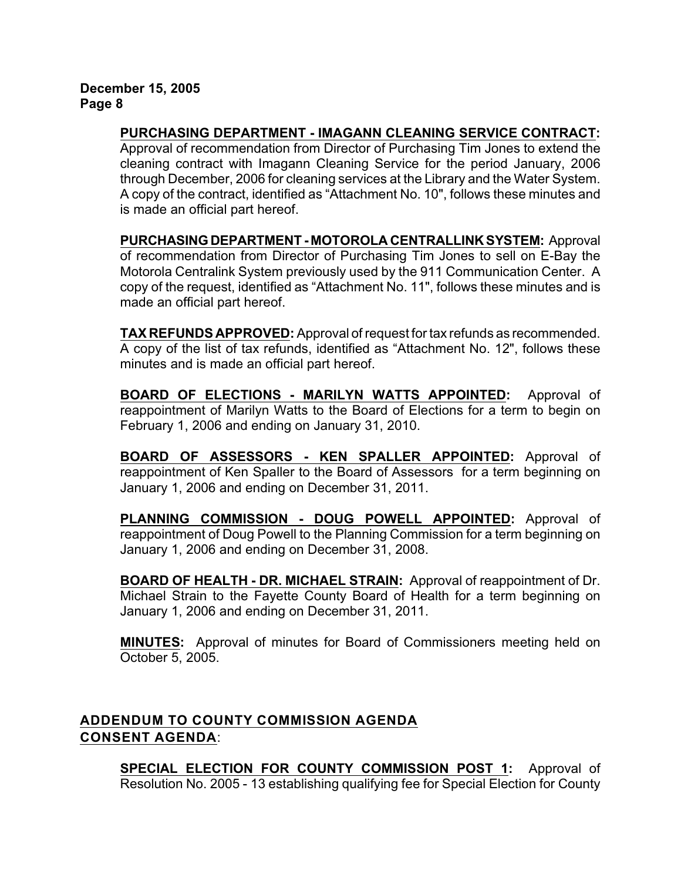**PURCHASING DEPARTMENT - IMAGANN CLEANING SERVICE CONTRACT:**

Approval of recommendation from Director of Purchasing Tim Jones to extend the cleaning contract with Imagann Cleaning Service for the period January, 2006 through December, 2006 for cleaning services at the Library and the Water System. A copy of the contract, identified as "Attachment No. 10", follows these minutes and is made an official part hereof.

**PURCHASING DEPARTMENT - MOTOROLA CENTRALLINK SYSTEM:** Approval of recommendation from Director of Purchasing Tim Jones to sell on E-Bay the Motorola Centralink System previously used by the 911 Communication Center. A copy of the request, identified as "Attachment No. 11", follows these minutes and is made an official part hereof.

**TAX REFUNDS APPROVED:** Approval of request for tax refunds as recommended. A copy of the list of tax refunds, identified as "Attachment No. 12", follows these minutes and is made an official part hereof.

**BOARD OF ELECTIONS - MARILYN WATTS APPOINTED:** Approval of reappointment of Marilyn Watts to the Board of Elections for a term to begin on February 1, 2006 and ending on January 31, 2010.

**BOARD OF ASSESSORS - KEN SPALLER APPOINTED:** Approval of reappointment of Ken Spaller to the Board of Assessors for a term beginning on January 1, 2006 and ending on December 31, 2011.

**PLANNING COMMISSION - DOUG POWELL APPOINTED:** Approval of reappointment of Doug Powell to the Planning Commission for a term beginning on January 1, 2006 and ending on December 31, 2008.

**BOARD OF HEALTH - DR. MICHAEL STRAIN:** Approval of reappointment of Dr. Michael Strain to the Fayette County Board of Health for a term beginning on January 1, 2006 and ending on December 31, 2011.

**MINUTES:** Approval of minutes for Board of Commissioners meeting held on October 5, 2005.

# **ADDENDUM TO COUNTY COMMISSION AGENDA CONSENT AGENDA**:

**SPECIAL ELECTION FOR COUNTY COMMISSION POST 1:** Approval of Resolution No. 2005 - 13 establishing qualifying fee for Special Election for County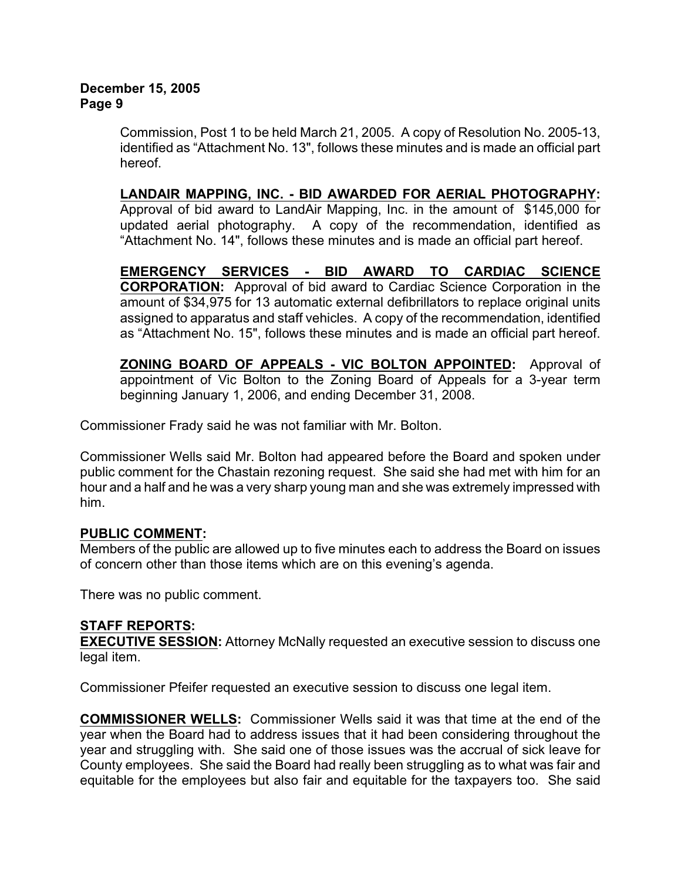Commission, Post 1 to be held March 21, 2005. A copy of Resolution No. 2005-13, identified as "Attachment No. 13", follows these minutes and is made an official part hereof.

**LANDAIR MAPPING, INC. - BID AWARDED FOR AERIAL PHOTOGRAPHY:** Approval of bid award to LandAir Mapping, Inc. in the amount of \$145,000 for updated aerial photography. A copy of the recommendation, identified as "Attachment No. 14", follows these minutes and is made an official part hereof.

**EMERGENCY SERVICES - BID AWARD TO CARDIAC SCIENCE CORPORATION:** Approval of bid award to Cardiac Science Corporation in the amount of \$34,975 for 13 automatic external defibrillators to replace original units assigned to apparatus and staff vehicles. A copy of the recommendation, identified as "Attachment No. 15", follows these minutes and is made an official part hereof.

**ZONING BOARD OF APPEALS - VIC BOLTON APPOINTED:** Approval of appointment of Vic Bolton to the Zoning Board of Appeals for a 3-year term beginning January 1, 2006, and ending December 31, 2008.

Commissioner Frady said he was not familiar with Mr. Bolton.

Commissioner Wells said Mr. Bolton had appeared before the Board and spoken under public comment for the Chastain rezoning request. She said she had met with him for an hour and a half and he was a very sharp young man and she was extremely impressed with him.

# **PUBLIC COMMENT:**

Members of the public are allowed up to five minutes each to address the Board on issues of concern other than those items which are on this evening's agenda.

There was no public comment.

# **STAFF REPORTS:**

**EXECUTIVE SESSION:** Attorney McNally requested an executive session to discuss one legal item.

Commissioner Pfeifer requested an executive session to discuss one legal item.

**COMMISSIONER WELLS:** Commissioner Wells said it was that time at the end of the year when the Board had to address issues that it had been considering throughout the year and struggling with. She said one of those issues was the accrual of sick leave for County employees. She said the Board had really been struggling as to what was fair and equitable for the employees but also fair and equitable for the taxpayers too. She said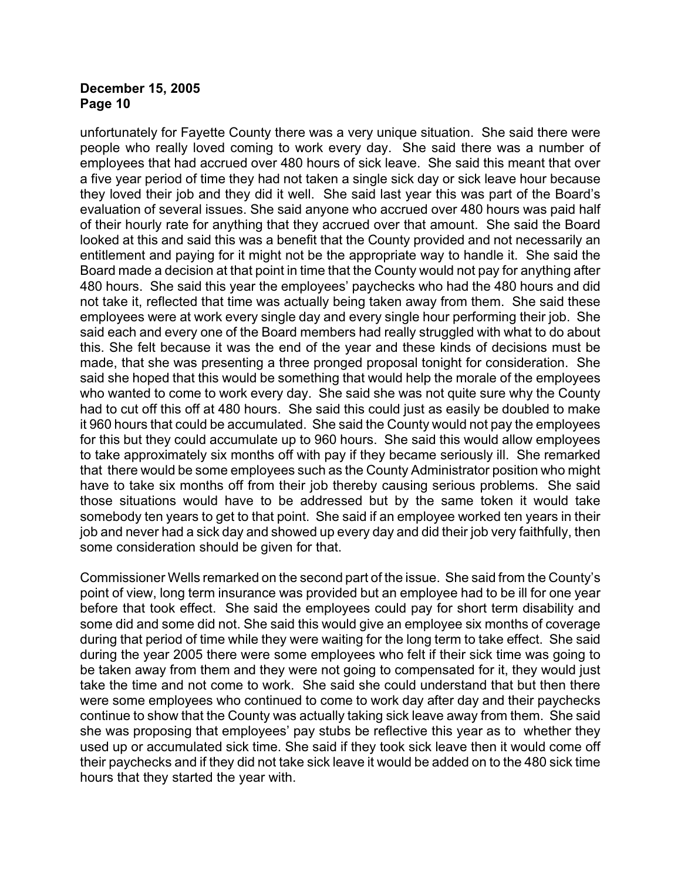unfortunately for Fayette County there was a very unique situation. She said there were people who really loved coming to work every day. She said there was a number of employees that had accrued over 480 hours of sick leave. She said this meant that over a five year period of time they had not taken a single sick day or sick leave hour because they loved their job and they did it well. She said last year this was part of the Board's evaluation of several issues. She said anyone who accrued over 480 hours was paid half of their hourly rate for anything that they accrued over that amount. She said the Board looked at this and said this was a benefit that the County provided and not necessarily an entitlement and paying for it might not be the appropriate way to handle it. She said the Board made a decision at that point in time that the County would not pay for anything after 480 hours. She said this year the employees' paychecks who had the 480 hours and did not take it, reflected that time was actually being taken away from them. She said these employees were at work every single day and every single hour performing their job. She said each and every one of the Board members had really struggled with what to do about this. She felt because it was the end of the year and these kinds of decisions must be made, that she was presenting a three pronged proposal tonight for consideration. She said she hoped that this would be something that would help the morale of the employees who wanted to come to work every day. She said she was not quite sure why the County had to cut off this off at 480 hours. She said this could just as easily be doubled to make it 960 hours that could be accumulated. She said the County would not pay the employees for this but they could accumulate up to 960 hours. She said this would allow employees to take approximately six months off with pay if they became seriously ill. She remarked that there would be some employees such as the County Administrator position who might have to take six months off from their job thereby causing serious problems. She said those situations would have to be addressed but by the same token it would take somebody ten years to get to that point. She said if an employee worked ten years in their job and never had a sick day and showed up every day and did their job very faithfully, then some consideration should be given for that.

Commissioner Wells remarked on the second part of the issue. She said from the County's point of view, long term insurance was provided but an employee had to be ill for one year before that took effect. She said the employees could pay for short term disability and some did and some did not. She said this would give an employee six months of coverage during that period of time while they were waiting for the long term to take effect. She said during the year 2005 there were some employees who felt if their sick time was going to be taken away from them and they were not going to compensated for it, they would just take the time and not come to work. She said she could understand that but then there were some employees who continued to come to work day after day and their paychecks continue to show that the County was actually taking sick leave away from them. She said she was proposing that employees' pay stubs be reflective this year as to whether they used up or accumulated sick time. She said if they took sick leave then it would come off their paychecks and if they did not take sick leave it would be added on to the 480 sick time hours that they started the year with.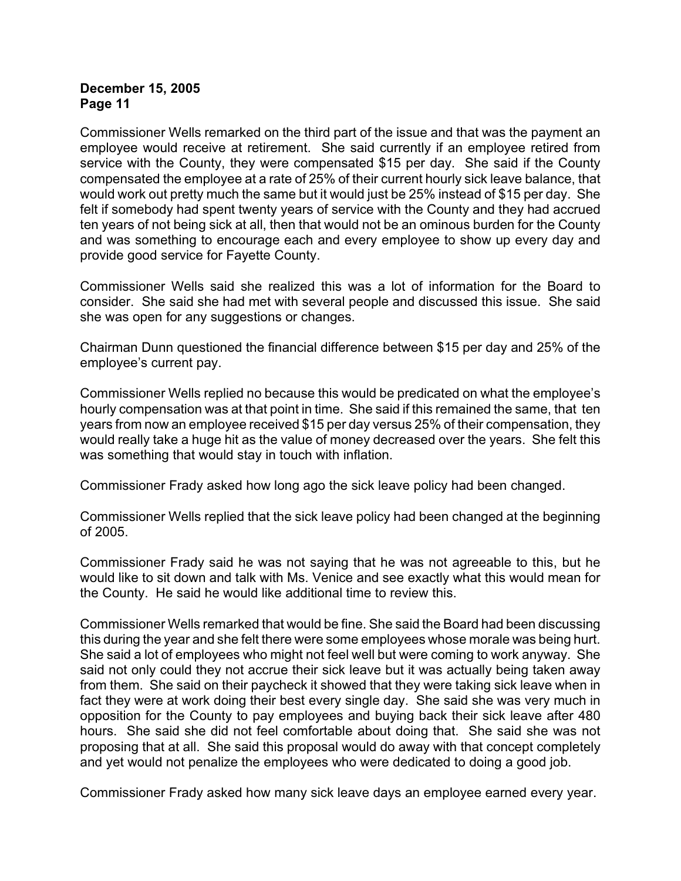Commissioner Wells remarked on the third part of the issue and that was the payment an employee would receive at retirement. She said currently if an employee retired from service with the County, they were compensated \$15 per day. She said if the County compensated the employee at a rate of 25% of their current hourly sick leave balance, that would work out pretty much the same but it would just be 25% instead of \$15 per day. She felt if somebody had spent twenty years of service with the County and they had accrued ten years of not being sick at all, then that would not be an ominous burden for the County and was something to encourage each and every employee to show up every day and provide good service for Fayette County.

Commissioner Wells said she realized this was a lot of information for the Board to consider. She said she had met with several people and discussed this issue. She said she was open for any suggestions or changes.

Chairman Dunn questioned the financial difference between \$15 per day and 25% of the employee's current pay.

Commissioner Wells replied no because this would be predicated on what the employee's hourly compensation was at that point in time. She said if this remained the same, that ten years from now an employee received \$15 per day versus 25% of their compensation, they would really take a huge hit as the value of money decreased over the years. She felt this was something that would stay in touch with inflation.

Commissioner Frady asked how long ago the sick leave policy had been changed.

Commissioner Wells replied that the sick leave policy had been changed at the beginning of 2005.

Commissioner Frady said he was not saying that he was not agreeable to this, but he would like to sit down and talk with Ms. Venice and see exactly what this would mean for the County. He said he would like additional time to review this.

Commissioner Wells remarked that would be fine. She said the Board had been discussing this during the year and she felt there were some employees whose morale was being hurt. She said a lot of employees who might not feel well but were coming to work anyway. She said not only could they not accrue their sick leave but it was actually being taken away from them. She said on their paycheck it showed that they were taking sick leave when in fact they were at work doing their best every single day. She said she was very much in opposition for the County to pay employees and buying back their sick leave after 480 hours. She said she did not feel comfortable about doing that. She said she was not proposing that at all. She said this proposal would do away with that concept completely and yet would not penalize the employees who were dedicated to doing a good job.

Commissioner Frady asked how many sick leave days an employee earned every year.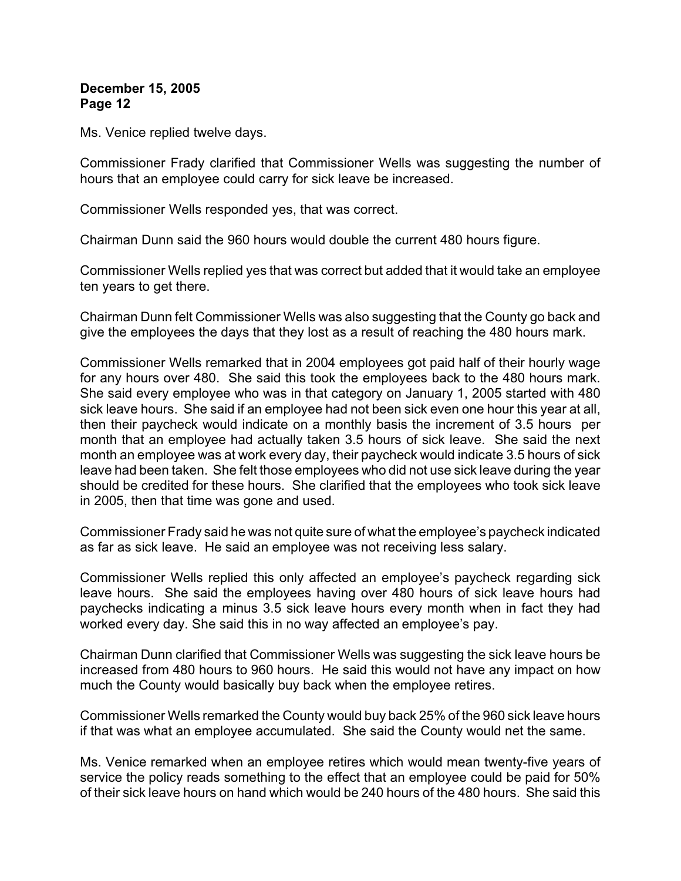Ms. Venice replied twelve days.

Commissioner Frady clarified that Commissioner Wells was suggesting the number of hours that an employee could carry for sick leave be increased.

Commissioner Wells responded yes, that was correct.

Chairman Dunn said the 960 hours would double the current 480 hours figure.

Commissioner Wells replied yes that was correct but added that it would take an employee ten years to get there.

Chairman Dunn felt Commissioner Wells was also suggesting that the County go back and give the employees the days that they lost as a result of reaching the 480 hours mark.

Commissioner Wells remarked that in 2004 employees got paid half of their hourly wage for any hours over 480. She said this took the employees back to the 480 hours mark. She said every employee who was in that category on January 1, 2005 started with 480 sick leave hours. She said if an employee had not been sick even one hour this year at all, then their paycheck would indicate on a monthly basis the increment of 3.5 hours per month that an employee had actually taken 3.5 hours of sick leave. She said the next month an employee was at work every day, their paycheck would indicate 3.5 hours of sick leave had been taken. She felt those employees who did not use sick leave during the year should be credited for these hours. She clarified that the employees who took sick leave in 2005, then that time was gone and used.

Commissioner Frady said he was not quite sure of what the employee's paycheck indicated as far as sick leave. He said an employee was not receiving less salary.

Commissioner Wells replied this only affected an employee's paycheck regarding sick leave hours. She said the employees having over 480 hours of sick leave hours had paychecks indicating a minus 3.5 sick leave hours every month when in fact they had worked every day. She said this in no way affected an employee's pay.

Chairman Dunn clarified that Commissioner Wells was suggesting the sick leave hours be increased from 480 hours to 960 hours. He said this would not have any impact on how much the County would basically buy back when the employee retires.

Commissioner Wells remarked the County would buy back 25% of the 960 sick leave hours if that was what an employee accumulated. She said the County would net the same.

Ms. Venice remarked when an employee retires which would mean twenty-five years of service the policy reads something to the effect that an employee could be paid for 50% of their sick leave hours on hand which would be 240 hours of the 480 hours. She said this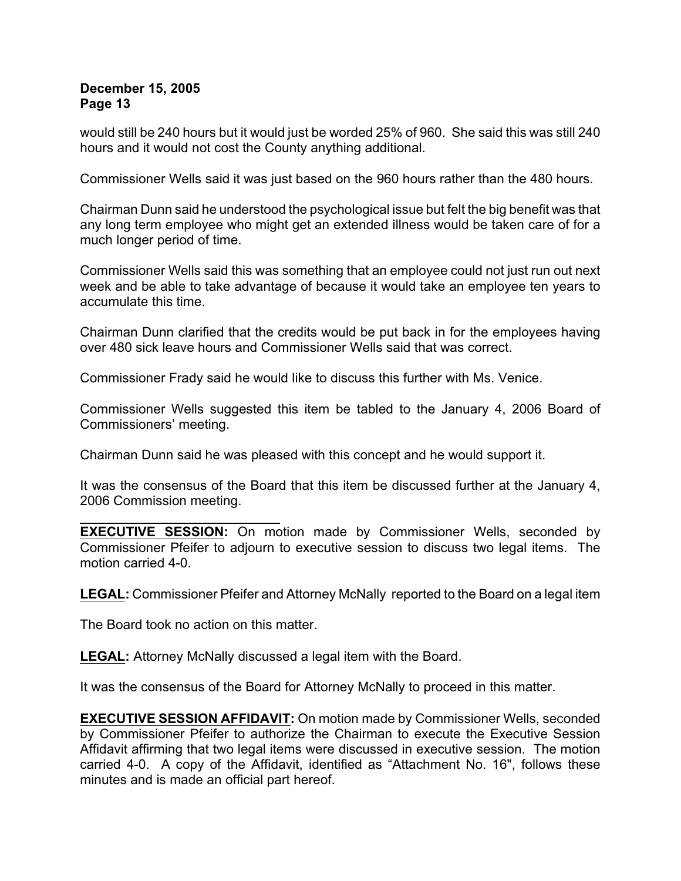would still be 240 hours but it would just be worded 25% of 960. She said this was still 240 hours and it would not cost the County anything additional.

Commissioner Wells said it was just based on the 960 hours rather than the 480 hours.

Chairman Dunn said he understood the psychological issue but felt the big benefit was that any long term employee who might get an extended illness would be taken care of for a much longer period of time.

Commissioner Wells said this was something that an employee could not just run out next week and be able to take advantage of because it would take an employee ten years to accumulate this time.

Chairman Dunn clarified that the credits would be put back in for the employees having over 480 sick leave hours and Commissioner Wells said that was correct.

Commissioner Frady said he would like to discuss this further with Ms. Venice.

Commissioner Wells suggested this item be tabled to the January 4, 2006 Board of Commissioners' meeting.

Chairman Dunn said he was pleased with this concept and he would support it.

It was the consensus of the Board that this item be discussed further at the January 4, 2006 Commission meeting.

**EXECUTIVE SESSION:** On motion made by Commissioner Wells, seconded by Commissioner Pfeifer to adjourn to executive session to discuss two legal items. The motion carried 4-0.

**LEGAL:** Commissioner Pfeifer and Attorney McNally reported to the Board on a legal item

The Board took no action on this matter.

**LEGAL:** Attorney McNally discussed a legal item with the Board.

It was the consensus of the Board for Attorney McNally to proceed in this matter.

**EXECUTIVE SESSION AFFIDAVIT:** On motion made by Commissioner Wells, seconded by Commissioner Pfeifer to authorize the Chairman to execute the Executive Session Affidavit affirming that two legal items were discussed in executive session. The motion carried 4-0. A copy of the Affidavit, identified as "Attachment No. 16", follows these minutes and is made an official part hereof.